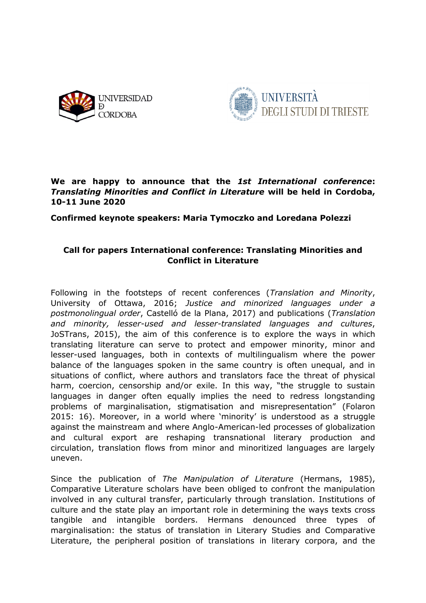



# **We are happy to announce that the** *1st International conference***:**  *Translating Minorities and Conflict in Literature* **will be held in Cordoba, 10-11 June 2020**

**Confirmed keynote speakers: Maria Tymoczko and Loredana Polezzi**

# **Call for papers International conference: Translating Minorities and Conflict in Literature**

Following in the footsteps of recent conferences (*Translation and Minority*, University of Ottawa, 2016; *Justice and minorized languages under a postmonolingual order*, Castelló de la Plana, 2017) and publications (*Translation and minority, lesser-used and lesser-translated languages and cultures*, JoSTrans, 2015), the aim of this conference is to explore the ways in which translating literature can serve to protect and empower minority, minor and lesser-used languages, both in contexts of multilingualism where the power balance of the languages spoken in the same country is often unequal, and in situations of conflict, where authors and translators face the threat of physical harm, coercion, censorship and/or exile. In this way, "the struggle to sustain languages in danger often equally implies the need to redress longstanding problems of marginalisation, stigmatisation and misrepresentation" (Folaron 2015: 16). Moreover, in a world where 'minority' is understood as a struggle against the mainstream and where Anglo-American-led processes of globalization and cultural export are reshaping transnational literary production and circulation, translation flows from minor and minoritized languages are largely uneven.

Since the publication of *The Manipulation of Literature* (Hermans, 1985), Comparative Literature scholars have been obliged to confront the manipulation involved in any cultural transfer, particularly through translation. Institutions of culture and the state play an important role in determining the ways texts cross tangible and intangible borders. Hermans denounced three types of marginalisation: the status of translation in Literary Studies and Comparative Literature, the peripheral position of translations in literary corpora, and the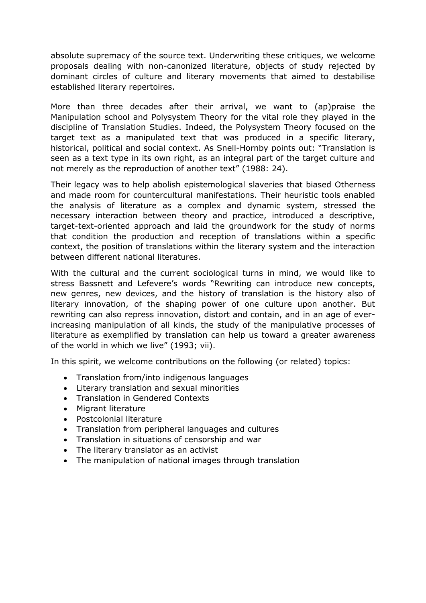absolute supremacy of the source text. Underwriting these critiques, we welcome proposals dealing with non-canonized literature, objects of study rejected by dominant circles of culture and literary movements that aimed to destabilise established literary repertoires.

More than three decades after their arrival, we want to (ap)praise the Manipulation school and Polysystem Theory for the vital role they played in the discipline of Translation Studies. Indeed, the Polysystem Theory focused on the target text as a manipulated text that was produced in a specific literary, historical, political and social context. As Snell-Hornby points out: "Translation is seen as a text type in its own right, as an integral part of the target culture and not merely as the reproduction of another text" (1988: 24).

Their legacy was to help abolish epistemological slaveries that biased Otherness and made room for countercultural manifestations. Their heuristic tools enabled the analysis of literature as a complex and dynamic system, stressed the necessary interaction between theory and practice, introduced a descriptive, target-text-oriented approach and laid the groundwork for the study of norms that condition the production and reception of translations within a specific context, the position of translations within the literary system and the interaction between different national literatures.

With the cultural and the current sociological turns in mind, we would like to stress Bassnett and Lefevere's words "Rewriting can introduce new concepts, new genres, new devices, and the history of translation is the history also of literary innovation, of the shaping power of one culture upon another. But rewriting can also repress innovation, distort and contain, and in an age of everincreasing manipulation of all kinds, the study of the manipulative processes of literature as exemplified by translation can help us toward a greater awareness of the world in which we live" (1993; vii).

In this spirit, we welcome contributions on the following (or related) topics:

- Translation from/into indigenous languages
- Literary translation and sexual minorities
- Translation in Gendered Contexts
- Migrant literature
- Postcolonial literature
- Translation from peripheral languages and cultures
- Translation in situations of censorship and war
- The literary translator as an activist
- The manipulation of national images through translation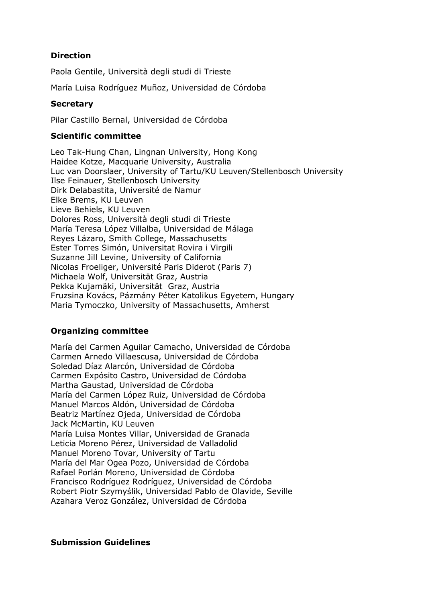# **Direction**

Paola Gentile, Università degli studi di Trieste

María Luisa Rodríguez Muñoz, Universidad de Córdoba

### **Secretary**

Pilar Castillo Bernal, Universidad de Córdoba

#### **Scientific committee**

Leo Tak-Hung Chan, Lingnan University, Hong Kong Haidee Kotze, Macquarie University, Australia Luc van Doorslaer, University of Tartu/KU Leuven/Stellenbosch University Ilse Feinauer, Stellenbosch University Dirk Delabastita, Université de Namur Elke Brems, KU Leuven Lieve Behiels, KU Leuven Dolores Ross, Università degli studi di Trieste María Teresa López Villalba, Universidad de Málaga Reyes Lázaro, Smith College, Massachusetts Ester Torres Simón, Universitat Rovira i Virgili Suzanne Jill Levine, University of California Nicolas Froeliger, Université Paris Diderot (Paris 7) Michaela Wolf, Universität Graz, Austria Pekka Kujamäki, Universität Graz, Austria Fruzsina Kovács, Pázmány Péter Katolikus Egyetem, Hungary Maria Tymoczko, University of Massachusetts, Amherst

### **Organizing committee**

María del Carmen Aguilar Camacho, Universidad de Córdoba Carmen Arnedo Villaescusa, Universidad de Córdoba Soledad Díaz Alarcón, Universidad de Córdoba Carmen Expósito Castro, Universidad de Córdoba Martha Gaustad, Universidad de Córdoba María del Carmen López Ruiz, Universidad de Córdoba Manuel Marcos Aldón, Universidad de Córdoba Beatriz Martínez Ojeda, Universidad de Córdoba Jack McMartin, KU Leuven María Luisa Montes Villar, Universidad de Granada Leticia Moreno Pérez, Universidad de Valladolid Manuel Moreno Tovar, University of Tartu María del Mar Ogea Pozo, Universidad de Córdoba Rafael Porlán Moreno, Universidad de Córdoba Francisco Rodríguez Rodríguez, Universidad de Córdoba Robert Piotr Szymyślik, Universidad Pablo de Olavide, Seville Azahara Veroz González, Universidad de Córdoba

#### **Submission Guidelines**